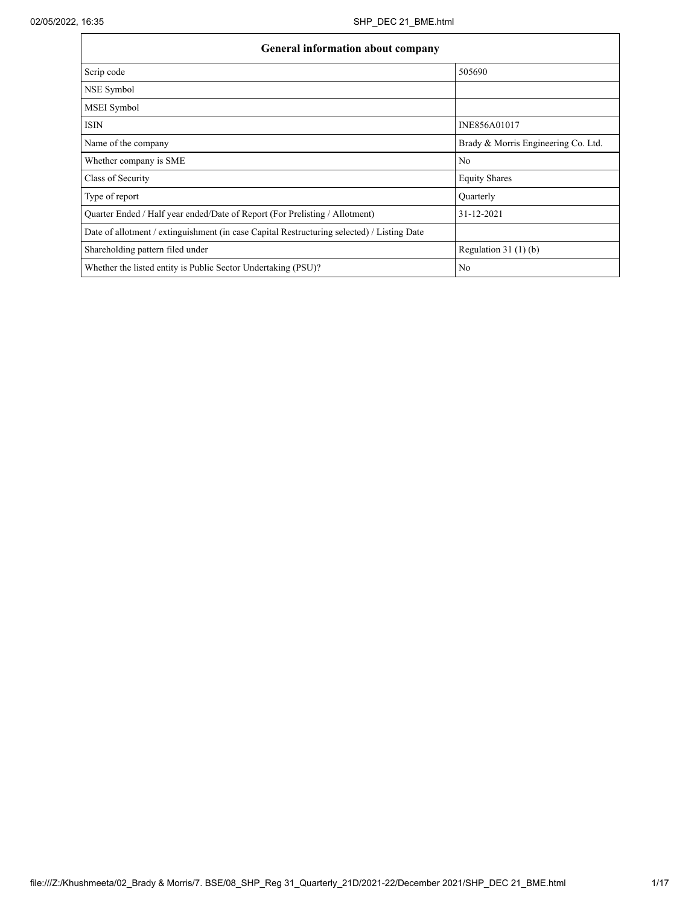| <b>General information about company</b>                                                   |                                     |
|--------------------------------------------------------------------------------------------|-------------------------------------|
| Scrip code                                                                                 | 505690                              |
| NSE Symbol                                                                                 |                                     |
| MSEI Symbol                                                                                |                                     |
| <b>ISIN</b>                                                                                | INE856A01017                        |
| Name of the company                                                                        | Brady & Morris Engineering Co. Ltd. |
| Whether company is SME                                                                     | N <sub>0</sub>                      |
| Class of Security                                                                          | <b>Equity Shares</b>                |
| Type of report                                                                             | Quarterly                           |
| Ouarter Ended / Half year ended/Date of Report (For Prelisting / Allotment)                | 31-12-2021                          |
| Date of allotment / extinguishment (in case Capital Restructuring selected) / Listing Date |                                     |
| Shareholding pattern filed under                                                           | Regulation $31(1)(b)$               |
| Whether the listed entity is Public Sector Undertaking (PSU)?                              | N <sub>0</sub>                      |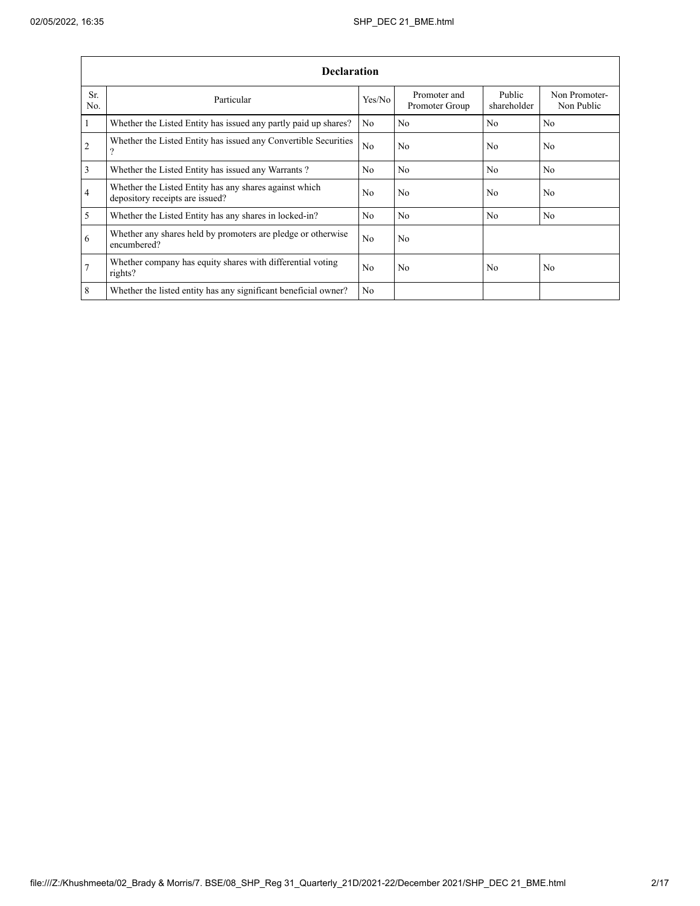|                       | <b>Declaration</b>                                                                        |                |                                |                       |                             |  |  |  |  |  |  |
|-----------------------|-------------------------------------------------------------------------------------------|----------------|--------------------------------|-----------------------|-----------------------------|--|--|--|--|--|--|
| Sr.<br>N <sub>0</sub> | Particular                                                                                | Yes/No         | Promoter and<br>Promoter Group | Public<br>shareholder | Non Promoter-<br>Non Public |  |  |  |  |  |  |
| $\mathbf{1}$          | Whether the Listed Entity has issued any partly paid up shares?                           | N <sub>0</sub> | N <sub>0</sub>                 | N <sub>0</sub>        | N <sub>0</sub>              |  |  |  |  |  |  |
| $\overline{2}$        | Whether the Listed Entity has issued any Convertible Securities<br>$\Omega$               | No             | N <sub>0</sub>                 | N <sub>0</sub>        | N <sub>0</sub>              |  |  |  |  |  |  |
| 3                     | Whether the Listed Entity has issued any Warrants?                                        | N <sub>0</sub> | N <sub>0</sub>                 | N <sub>0</sub>        | N <sub>0</sub>              |  |  |  |  |  |  |
| $\overline{4}$        | Whether the Listed Entity has any shares against which<br>depository receipts are issued? | N <sub>0</sub> | N <sub>0</sub>                 | N <sub>0</sub>        | N <sub>0</sub>              |  |  |  |  |  |  |
| 5                     | Whether the Listed Entity has any shares in locked-in?                                    | N <sub>0</sub> | N <sub>0</sub>                 | N <sub>0</sub>        | N <sub>0</sub>              |  |  |  |  |  |  |
| 6                     | Whether any shares held by promoters are pledge or otherwise<br>encumbered?               | N <sub>0</sub> | N <sub>0</sub>                 |                       |                             |  |  |  |  |  |  |
| $\overline{7}$        | Whether company has equity shares with differential voting<br>rights?                     | N <sub>0</sub> | N <sub>0</sub>                 | N <sub>0</sub>        | N <sub>0</sub>              |  |  |  |  |  |  |
| 8                     | Whether the listed entity has any significant beneficial owner?                           | N <sub>0</sub> |                                |                       |                             |  |  |  |  |  |  |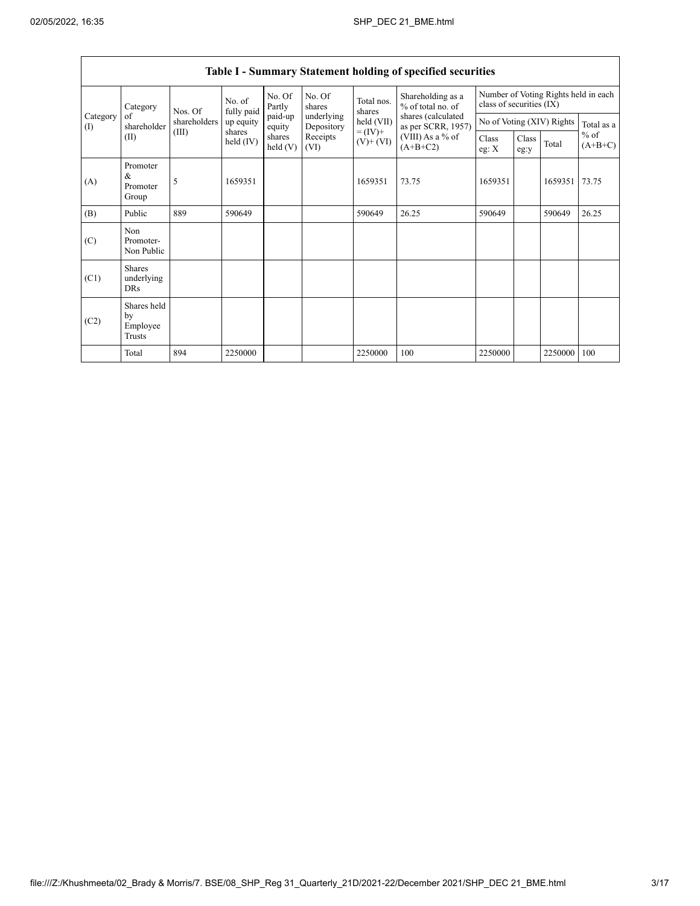|                 | Category<br>of<br>shareholder<br>(II)     | Nos. Of<br>shareholders<br>(III)<br>shares | No. of<br>fully paid | No. Of<br>Partly   | No. Of<br>shares         | Total nos.<br>shares                       | Shareholding as a<br>% of total no. of<br>shares (calculated<br>as per SCRR, 1957)<br>(VIII) As a % of<br>$(A+B+C2)$ | class of securities (IX)  |               |         | Number of Voting Rights held in each |
|-----------------|-------------------------------------------|--------------------------------------------|----------------------|--------------------|--------------------------|--------------------------------------------|----------------------------------------------------------------------------------------------------------------------|---------------------------|---------------|---------|--------------------------------------|
| Category<br>(1) |                                           |                                            | up equity            | paid-up<br>equity  | underlying<br>Depository | held (VII)<br>$= (IV) +$<br>$(V)$ + $(VI)$ |                                                                                                                      | No of Voting (XIV) Rights |               |         | Total as a                           |
|                 |                                           |                                            | held $(IV)$          | shares<br>held (V) | Receipts<br>(VI)         |                                            |                                                                                                                      | Class<br>eg: $X$          | Class<br>eg:y | Total   | $%$ of<br>$(A+B+C)$                  |
| (A)             | Promoter<br>&<br>Promoter<br>Group        | 5                                          | 1659351              |                    |                          | 1659351                                    | 73.75                                                                                                                | 1659351                   |               | 1659351 | 73.75                                |
| (B)             | Public                                    | 889                                        | 590649               |                    |                          | 590649                                     | 26.25                                                                                                                | 590649                    |               | 590649  | 26.25                                |
| (C)             | Non<br>Promoter-<br>Non Public            |                                            |                      |                    |                          |                                            |                                                                                                                      |                           |               |         |                                      |
| (C1)            | <b>Shares</b><br>underlying<br><b>DRs</b> |                                            |                      |                    |                          |                                            |                                                                                                                      |                           |               |         |                                      |
| (C2)            | Shares held<br>by<br>Employee<br>Trusts   |                                            |                      |                    |                          |                                            |                                                                                                                      |                           |               |         |                                      |
|                 | Total                                     | 894                                        | 2250000              |                    |                          | 2250000                                    | 100                                                                                                                  | 2250000                   |               | 2250000 | 100                                  |

## Table I - Summary Statement holding of specified securities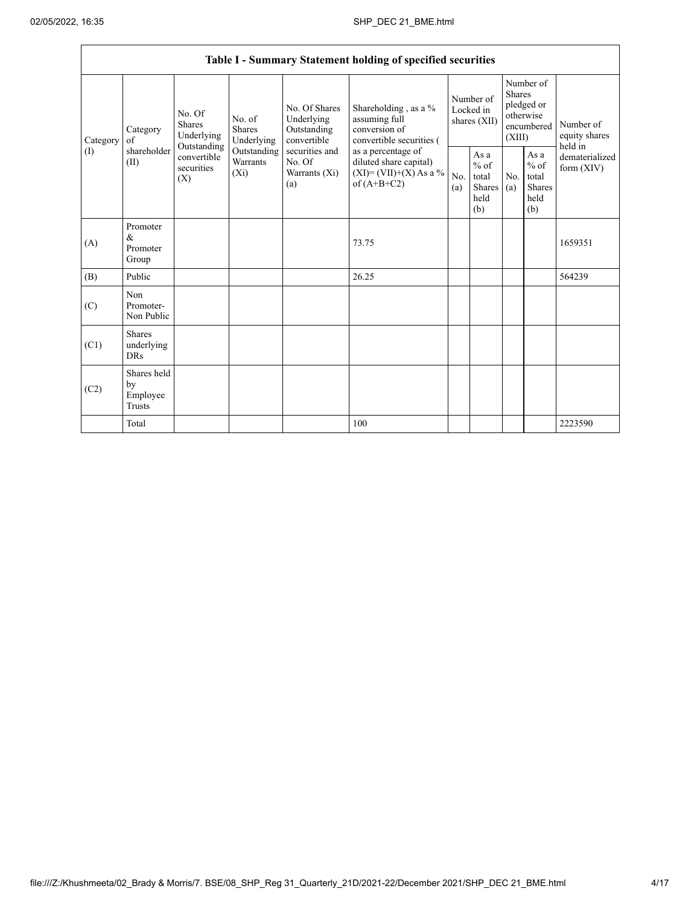|                 |                                           |                                                                                                                                                                         |  |                                                           | Table I - Summary Statement holding of specified securities                                |                                        |                                                  |                                                                               |                                                         |                                       |
|-----------------|-------------------------------------------|-------------------------------------------------------------------------------------------------------------------------------------------------------------------------|--|-----------------------------------------------------------|--------------------------------------------------------------------------------------------|----------------------------------------|--------------------------------------------------|-------------------------------------------------------------------------------|---------------------------------------------------------|---------------------------------------|
| Category<br>(1) | Category<br>of<br>shareholder<br>(II)     | No. Of<br>No. of<br><b>Shares</b><br><b>Shares</b><br>Underlying<br>Underlying<br>Outstanding<br>Outstanding<br>convertible<br>Warrants<br>securities<br>$(X_i)$<br>(X) |  | No. Of Shares<br>Underlying<br>Outstanding<br>convertible | Shareholding, as a %<br>assuming full<br>conversion of<br>convertible securities (         | Number of<br>Locked in<br>shares (XII) |                                                  | Number of<br><b>Shares</b><br>pledged or<br>otherwise<br>encumbered<br>(XIII) |                                                         | Number of<br>equity shares<br>held in |
|                 |                                           |                                                                                                                                                                         |  | securities and<br>No. Of<br>Warrants (Xi)<br>(a)          | as a percentage of<br>diluted share capital)<br>$(XI) = (VII)+(X) As a %$<br>of $(A+B+C2)$ | No.<br>(a)                             | As a<br>$%$ of<br>total<br>Shares<br>held<br>(b) | No.<br>(a)                                                                    | As a<br>$%$ of<br>total<br><b>Shares</b><br>held<br>(b) | dematerialized<br>form $(XIV)$        |
| (A)             | Promoter<br>&<br>Promoter<br>Group        |                                                                                                                                                                         |  |                                                           | 73.75                                                                                      |                                        |                                                  |                                                                               |                                                         | 1659351                               |
| (B)             | Public                                    |                                                                                                                                                                         |  |                                                           | 26.25                                                                                      |                                        |                                                  |                                                                               |                                                         | 564239                                |
| (C)             | Non<br>Promoter-<br>Non Public            |                                                                                                                                                                         |  |                                                           |                                                                                            |                                        |                                                  |                                                                               |                                                         |                                       |
| (C1)            | <b>Shares</b><br>underlying<br><b>DRs</b> |                                                                                                                                                                         |  |                                                           |                                                                                            |                                        |                                                  |                                                                               |                                                         |                                       |
| (C2)            | Shares held<br>by<br>Employee<br>Trusts   |                                                                                                                                                                         |  |                                                           |                                                                                            |                                        |                                                  |                                                                               |                                                         |                                       |
|                 | Total                                     |                                                                                                                                                                         |  |                                                           | 100                                                                                        |                                        |                                                  |                                                                               |                                                         | 2223590                               |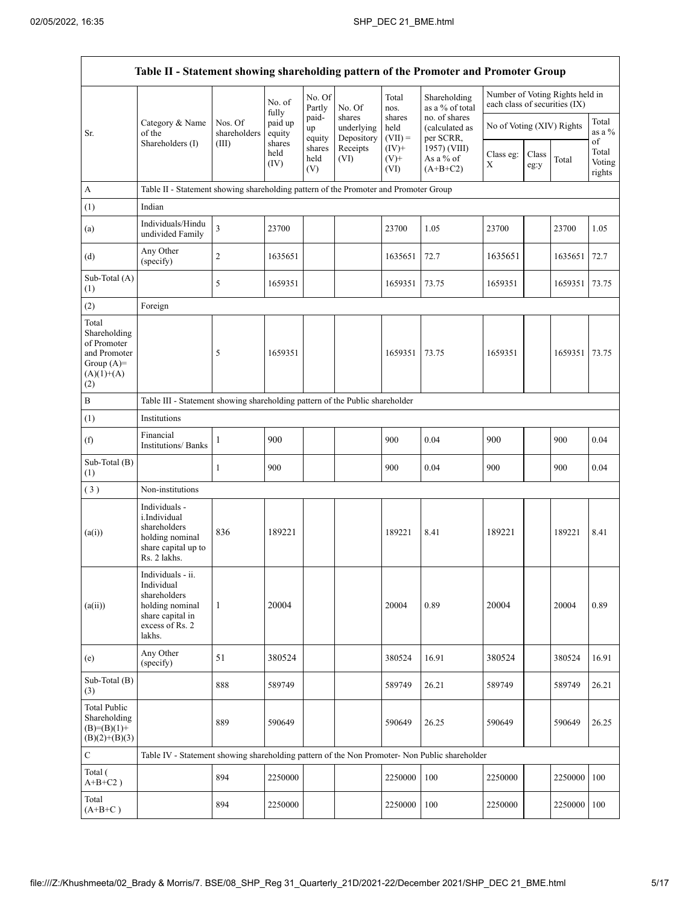| Table II - Statement showing shareholding pattern of the Promoter and Promoter Group        |                                                                                                                     |                         |                        |                       |                                    |                             |                                              |                                                                  |               |         |                                 |
|---------------------------------------------------------------------------------------------|---------------------------------------------------------------------------------------------------------------------|-------------------------|------------------------|-----------------------|------------------------------------|-----------------------------|----------------------------------------------|------------------------------------------------------------------|---------------|---------|---------------------------------|
|                                                                                             |                                                                                                                     |                         | No. of<br>fully        | No. Of<br>Partly      | No. Of                             | Total<br>nos.               | Shareholding<br>as a % of total              | Number of Voting Rights held in<br>each class of securities (IX) |               |         |                                 |
| Sr.                                                                                         | Category & Name<br>of the                                                                                           | Nos. Of<br>shareholders | paid up<br>equity      | paid-<br>up<br>equity | shares<br>underlying<br>Depository | shares<br>held<br>$(VII) =$ | no. of shares<br>(calculated as<br>per SCRR, | No of Voting (XIV) Rights                                        |               |         | Total<br>as a %                 |
|                                                                                             | Shareholders (I)                                                                                                    | (III)                   | shares<br>held<br>(IV) | shares<br>held<br>(V) | Receipts<br>(VI)                   | $(IV)$ +<br>$(V)$ +<br>(VI) | 1957) (VIII)<br>As a % of<br>$(A+B+C2)$      | Class eg:<br>X                                                   | Class<br>eg:y | Total   | οf<br>Total<br>Voting<br>rights |
| A                                                                                           | Table II - Statement showing shareholding pattern of the Promoter and Promoter Group                                |                         |                        |                       |                                    |                             |                                              |                                                                  |               |         |                                 |
| (1)                                                                                         | Indian                                                                                                              |                         |                        |                       |                                    |                             |                                              |                                                                  |               |         |                                 |
| (a)                                                                                         | Individuals/Hindu<br>undivided Family                                                                               | 3                       | 23700                  |                       |                                    | 23700                       | 1.05                                         | 23700                                                            |               | 23700   | 1.05                            |
| (d)                                                                                         | Any Other<br>(specify)                                                                                              | 2                       | 1635651                |                       |                                    | 1635651                     | 72.7                                         | 1635651                                                          |               | 1635651 | 72.7                            |
| Sub-Total (A)<br>(1)                                                                        |                                                                                                                     | 5                       | 1659351                |                       |                                    | 1659351                     | 73.75                                        | 1659351                                                          |               | 1659351 | 73.75                           |
| (2)                                                                                         | Foreign                                                                                                             |                         |                        |                       |                                    |                             |                                              |                                                                  |               |         |                                 |
| Total<br>Shareholding<br>of Promoter<br>and Promoter<br>Group $(A)=$<br>$(A)(1)+(A)$<br>(2) |                                                                                                                     | 5                       | 1659351                |                       |                                    | 1659351                     | 73.75                                        | 1659351                                                          |               | 1659351 | 73.75                           |
| B                                                                                           | Table III - Statement showing shareholding pattern of the Public shareholder                                        |                         |                        |                       |                                    |                             |                                              |                                                                  |               |         |                                 |
| (1)                                                                                         | Institutions                                                                                                        |                         |                        |                       |                                    |                             |                                              |                                                                  |               |         |                                 |
| (f)                                                                                         | Financial<br><b>Institutions/Banks</b>                                                                              | 1                       | 900                    |                       |                                    | 900                         | 0.04                                         | 900                                                              |               | 900     | 0.04                            |
| Sub-Total (B)<br>(1)                                                                        |                                                                                                                     | 1                       | 900                    |                       |                                    | 900                         | 0.04                                         | 900                                                              |               | 900     | 0.04                            |
| (3)                                                                                         | Non-institutions                                                                                                    |                         |                        |                       |                                    |                             |                                              |                                                                  |               |         |                                 |
| (a(i))                                                                                      | Individuals -<br>i.Individual<br>shareholders<br>holding nominal<br>share capital up to<br>Rs. 2 lakhs.             | 836                     | 189221                 |                       |                                    | 189221                      | 8.41                                         | 189221                                                           |               | 189221  | 8.41                            |
| (a(ii))                                                                                     | Individuals - ii.<br>Individual<br>shareholders<br>holding nominal<br>share capital in<br>excess of Rs. 2<br>lakhs. | 1                       | 20004                  |                       |                                    | 20004                       | 0.89                                         | 20004                                                            |               | 20004   | 0.89                            |
| (e)                                                                                         | Any Other<br>(specify)                                                                                              | 51                      | 380524                 |                       |                                    | 380524                      | 16.91                                        | 380524                                                           |               | 380524  | 16.91                           |
| Sub-Total (B)<br>(3)                                                                        |                                                                                                                     | 888                     | 589749                 |                       |                                    | 589749                      | 26.21                                        | 589749                                                           |               | 589749  | 26.21                           |
| <b>Total Public</b><br>Shareholding<br>$(B)=(B)(1)+$<br>$(B)(2)+(B)(3)$                     |                                                                                                                     | 889                     | 590649                 |                       |                                    | 590649                      | 26.25                                        | 590649                                                           |               | 590649  | 26.25                           |
| $\mathbf C$                                                                                 | Table IV - Statement showing shareholding pattern of the Non Promoter- Non Public shareholder                       |                         |                        |                       |                                    |                             |                                              |                                                                  |               |         |                                 |
| Total (<br>$A+B+C2$ )                                                                       |                                                                                                                     | 894                     | 2250000                |                       |                                    | 2250000                     | 100                                          | 2250000                                                          |               | 2250000 | 100                             |
| Total<br>$(A+B+C)$                                                                          |                                                                                                                     | 894                     | 2250000                |                       |                                    | 2250000                     | 100                                          | 2250000                                                          |               | 2250000 | 100                             |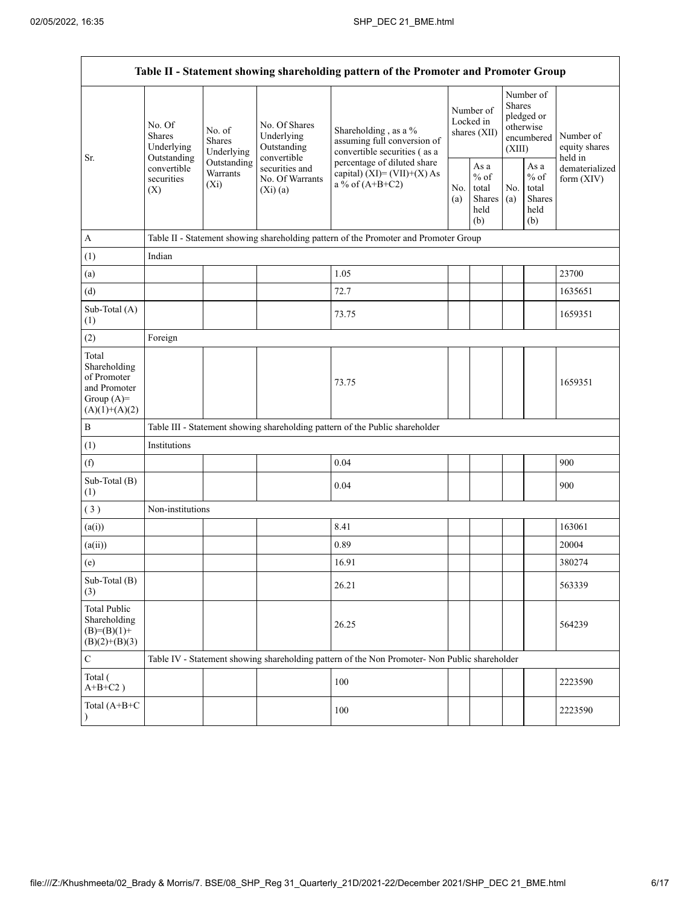|                                                                                         |                                                 |                                       |                                                           | Table II - Statement showing shareholding pattern of the Promoter and Promoter Group                                                                                      |  |                                                  |            |                                                                        |                                       |  |
|-----------------------------------------------------------------------------------------|-------------------------------------------------|---------------------------------------|-----------------------------------------------------------|---------------------------------------------------------------------------------------------------------------------------------------------------------------------------|--|--------------------------------------------------|------------|------------------------------------------------------------------------|---------------------------------------|--|
|                                                                                         | No. Of<br><b>Shares</b><br>Underlying           | No. of<br><b>Shares</b><br>Underlying | No. Of Shares<br>Underlying<br>Outstanding<br>convertible | Shareholding, as a %<br>assuming full conversion of<br>convertible securities (as a<br>percentage of diluted share<br>capital) $(XI) = (VII)+(X) As$<br>a % of $(A+B+C2)$ |  | Number of<br>Locked in<br>shares (XII)           |            | Number of<br>Shares<br>pledged or<br>otherwise<br>encumbered<br>(XIII) | Number of<br>equity shares<br>held in |  |
| Sr.                                                                                     | Outstanding<br>convertible<br>securities<br>(X) | Outstanding<br>Warrants<br>$(X_i)$    | securities and<br>No. Of Warrants<br>(Xi)(a)              |                                                                                                                                                                           |  | As a<br>$%$ of<br>total<br>Shares<br>held<br>(b) | No.<br>(a) | As a<br>$%$ of<br>total<br><b>Shares</b><br>held<br>(b)                | dematerialized<br>form $(XIV)$        |  |
| $\mathbf{A}$                                                                            |                                                 |                                       |                                                           | Table II - Statement showing shareholding pattern of the Promoter and Promoter Group                                                                                      |  |                                                  |            |                                                                        |                                       |  |
| (1)                                                                                     | Indian                                          |                                       |                                                           |                                                                                                                                                                           |  |                                                  |            |                                                                        |                                       |  |
| (a)                                                                                     |                                                 |                                       |                                                           | 1.05                                                                                                                                                                      |  |                                                  |            |                                                                        | 23700                                 |  |
| (d)                                                                                     |                                                 |                                       |                                                           | 72.7                                                                                                                                                                      |  |                                                  |            |                                                                        | 1635651                               |  |
| Sub-Total (A)<br>(1)                                                                    |                                                 |                                       |                                                           | 73.75                                                                                                                                                                     |  |                                                  |            |                                                                        | 1659351                               |  |
| (2)                                                                                     | Foreign                                         |                                       |                                                           |                                                                                                                                                                           |  |                                                  |            |                                                                        |                                       |  |
| Total<br>Shareholding<br>of Promoter<br>and Promoter<br>Group $(A)=$<br>$(A)(1)+(A)(2)$ |                                                 |                                       |                                                           | 73.75                                                                                                                                                                     |  |                                                  |            |                                                                        | 1659351                               |  |
| $\, {\bf B}$                                                                            |                                                 |                                       |                                                           | Table III - Statement showing shareholding pattern of the Public shareholder                                                                                              |  |                                                  |            |                                                                        |                                       |  |
| (1)                                                                                     | Institutions                                    |                                       |                                                           |                                                                                                                                                                           |  |                                                  |            |                                                                        |                                       |  |
| (f)                                                                                     |                                                 |                                       |                                                           | 0.04                                                                                                                                                                      |  |                                                  |            |                                                                        | 900                                   |  |
| Sub-Total (B)<br>(1)                                                                    |                                                 |                                       |                                                           | 0.04                                                                                                                                                                      |  |                                                  |            |                                                                        | 900                                   |  |
| (3)                                                                                     | Non-institutions                                |                                       |                                                           |                                                                                                                                                                           |  |                                                  |            |                                                                        |                                       |  |
| (a(i))                                                                                  |                                                 |                                       |                                                           | 8.41                                                                                                                                                                      |  |                                                  |            |                                                                        | 163061                                |  |
| (a(ii))                                                                                 |                                                 |                                       |                                                           | 0.89                                                                                                                                                                      |  |                                                  |            |                                                                        | 20004                                 |  |
| (e)                                                                                     |                                                 |                                       |                                                           | 16.91                                                                                                                                                                     |  |                                                  |            |                                                                        | 380274                                |  |
| Sub-Total (B)<br>(3)                                                                    |                                                 |                                       |                                                           | 26.21                                                                                                                                                                     |  |                                                  |            |                                                                        | 563339                                |  |
| <b>Total Public</b><br>Shareholding<br>$(B)= (B)(1) +$<br>$(B)(2)+(B)(3)$               |                                                 |                                       |                                                           | 26.25                                                                                                                                                                     |  |                                                  |            |                                                                        | 564239                                |  |
| $\mathbf C$                                                                             |                                                 |                                       |                                                           | Table IV - Statement showing shareholding pattern of the Non Promoter- Non Public shareholder                                                                             |  |                                                  |            |                                                                        |                                       |  |
| Total (<br>$A+B+C2$ )                                                                   |                                                 |                                       |                                                           | 100                                                                                                                                                                       |  |                                                  |            |                                                                        | 2223590                               |  |
| Total (A+B+C<br>$\lambda$                                                               |                                                 |                                       |                                                           | 100                                                                                                                                                                       |  |                                                  |            |                                                                        | 2223590                               |  |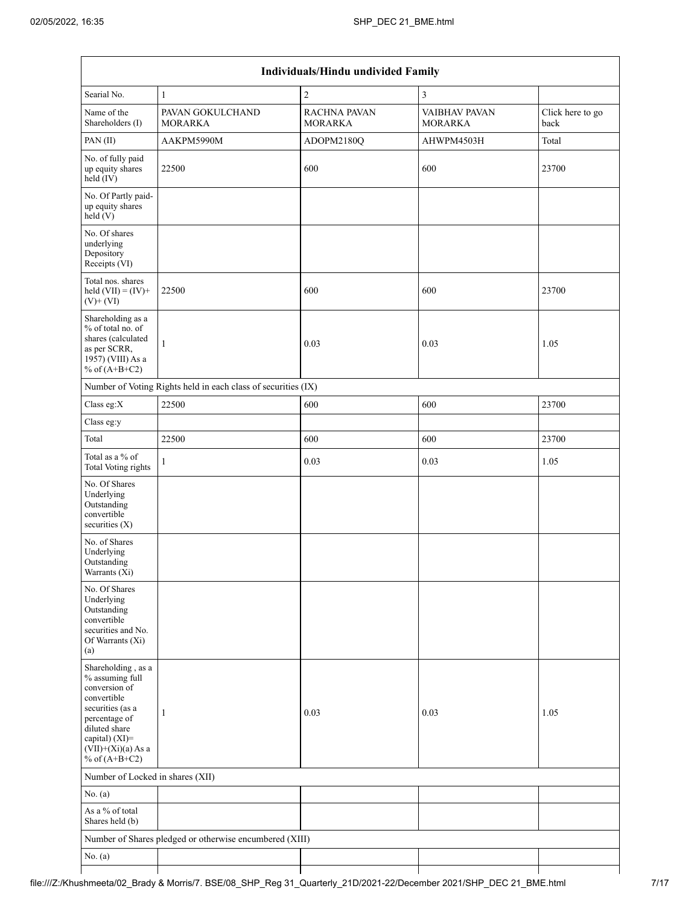| Individuals/Hindu undivided Family                                                                                                                                                       |                                                               |                                |                          |                          |  |  |  |  |  |  |
|------------------------------------------------------------------------------------------------------------------------------------------------------------------------------------------|---------------------------------------------------------------|--------------------------------|--------------------------|--------------------------|--|--|--|--|--|--|
| Searial No.                                                                                                                                                                              | $\mathbf{1}$                                                  | $\overline{c}$                 | $\overline{\mathbf{3}}$  |                          |  |  |  |  |  |  |
| Name of the<br>Shareholders (I)                                                                                                                                                          | PAVAN GOKULCHAND<br><b>MORARKA</b>                            | RACHNA PAVAN<br><b>MORARKA</b> | VAIBHAV PAVAN<br>MORARKA | Click here to go<br>back |  |  |  |  |  |  |
| PAN(II)                                                                                                                                                                                  | AAKPM5990M                                                    | ADOPM2180Q                     | AHWPM4503H               | Total                    |  |  |  |  |  |  |
| No. of fully paid<br>up equity shares<br>held (IV)                                                                                                                                       | 22500                                                         | 600                            | 600                      | 23700                    |  |  |  |  |  |  |
| No. Of Partly paid-<br>up equity shares<br>held(V)                                                                                                                                       |                                                               |                                |                          |                          |  |  |  |  |  |  |
| No. Of shares<br>underlying<br>Depository<br>Receipts (VI)                                                                                                                               |                                                               |                                |                          |                          |  |  |  |  |  |  |
| Total nos. shares<br>held $(VII) = (IV) +$<br>$(V)$ + $(VI)$                                                                                                                             | 22500                                                         | 600                            | 600                      | 23700                    |  |  |  |  |  |  |
| Shareholding as a<br>% of total no. of<br>shares (calculated<br>as per SCRR,<br>1957) (VIII) As a<br>% of $(A+B+C2)$                                                                     | $\mathbf{1}$                                                  | 0.03                           | 0.03                     | 1.05                     |  |  |  |  |  |  |
|                                                                                                                                                                                          | Number of Voting Rights held in each class of securities (IX) |                                |                          |                          |  |  |  |  |  |  |
| Class eg:X                                                                                                                                                                               | 22500                                                         | 600                            | 600                      | 23700                    |  |  |  |  |  |  |
| Class eg:y                                                                                                                                                                               |                                                               |                                |                          |                          |  |  |  |  |  |  |
| Total                                                                                                                                                                                    | 22500                                                         | 600                            | 600                      | 23700                    |  |  |  |  |  |  |
| Total as a % of<br>Total Voting rights                                                                                                                                                   | $\mathbf{1}$                                                  | 0.03                           | 0.03                     | 1.05                     |  |  |  |  |  |  |
| No. Of Shares<br>Underlying<br>Outstanding<br>convertible<br>securities $(X)$                                                                                                            |                                                               |                                |                          |                          |  |  |  |  |  |  |
| No. of Shares<br>Underlying<br>Outstanding<br>Warrants $(X_i)$                                                                                                                           |                                                               |                                |                          |                          |  |  |  |  |  |  |
| No. Of Shares<br>Underlying<br>Outstanding<br>convertible<br>securities and No.<br>Of Warrants (Xi)<br>(a)                                                                               |                                                               |                                |                          |                          |  |  |  |  |  |  |
| Shareholding, as a<br>% assuming full<br>conversion of<br>convertible<br>securities (as a<br>percentage of<br>diluted share<br>capital) (XI)=<br>$(VII)+(Xi)(a)$ As a<br>% of $(A+B+C2)$ | $\mathbf{1}$                                                  | 0.03                           | 0.03                     | 1.05                     |  |  |  |  |  |  |
| Number of Locked in shares (XII)                                                                                                                                                         |                                                               |                                |                          |                          |  |  |  |  |  |  |
| No. $(a)$                                                                                                                                                                                |                                                               |                                |                          |                          |  |  |  |  |  |  |
| As a % of total<br>Shares held (b)                                                                                                                                                       |                                                               |                                |                          |                          |  |  |  |  |  |  |
|                                                                                                                                                                                          | Number of Shares pledged or otherwise encumbered (XIII)       |                                |                          |                          |  |  |  |  |  |  |
| No. $(a)$                                                                                                                                                                                |                                                               |                                |                          |                          |  |  |  |  |  |  |
|                                                                                                                                                                                          |                                                               |                                |                          |                          |  |  |  |  |  |  |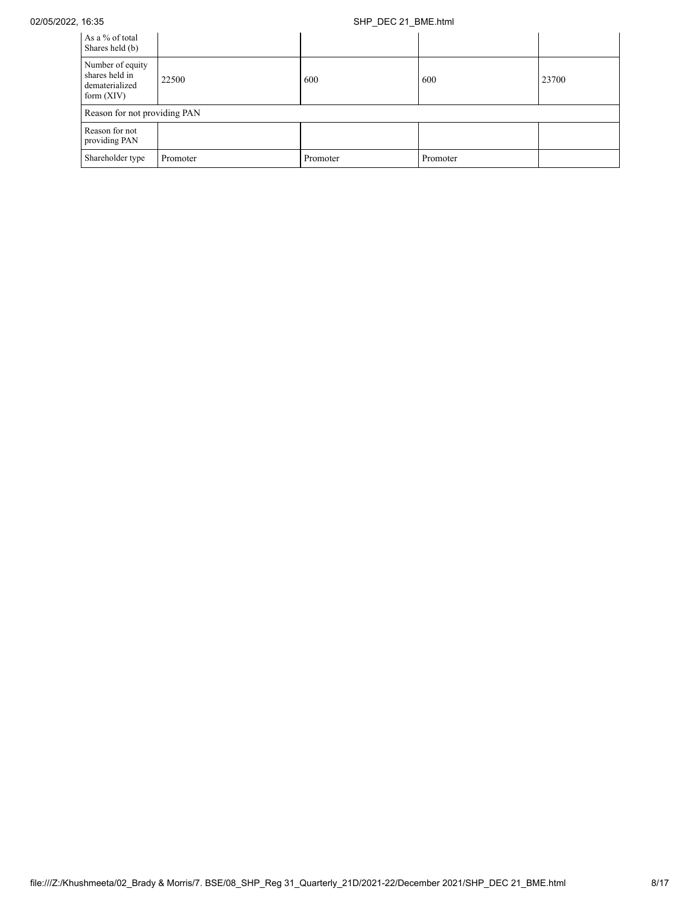# 02/05/2022, 16:35 SHP\_DEC 21\_BME.html

| As a % of total<br>Shares held (b)                                   |          |          |          |       |
|----------------------------------------------------------------------|----------|----------|----------|-------|
| Number of equity<br>shares held in<br>dematerialized<br>form $(XIV)$ | 22500    | 600      | 600      | 23700 |
| Reason for not providing PAN                                         |          |          |          |       |
| Reason for not<br>providing PAN                                      |          |          |          |       |
| Shareholder type                                                     | Promoter | Promoter | Promoter |       |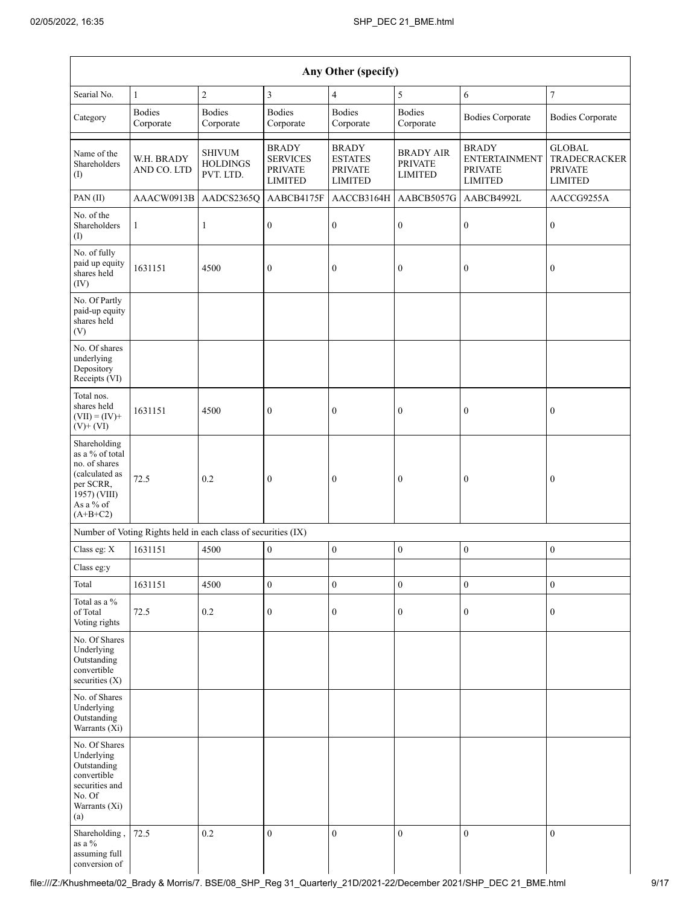| Any Other (specify)                                                                                                        |                                                               |                                               |                                                                     |                                                                    |                                                      |                                                                          |                                                                          |  |  |  |
|----------------------------------------------------------------------------------------------------------------------------|---------------------------------------------------------------|-----------------------------------------------|---------------------------------------------------------------------|--------------------------------------------------------------------|------------------------------------------------------|--------------------------------------------------------------------------|--------------------------------------------------------------------------|--|--|--|
| Searial No.                                                                                                                | $\mathbf{1}$                                                  | $\sqrt{2}$                                    | $\mathfrak{Z}$                                                      | $\overline{4}$                                                     | 5                                                    | 6                                                                        | $\boldsymbol{7}$                                                         |  |  |  |
| Category                                                                                                                   | <b>Bodies</b><br>Corporate                                    | <b>Bodies</b><br>Corporate                    | <b>Bodies</b><br>Corporate                                          | <b>Bodies</b><br>Corporate                                         | <b>Bodies</b><br>Corporate                           | <b>Bodies Corporate</b>                                                  | <b>Bodies Corporate</b>                                                  |  |  |  |
| Name of the<br>Shareholders<br>(I)                                                                                         | W.H. BRADY<br>AND CO. LTD                                     | <b>SHIVUM</b><br><b>HOLDINGS</b><br>PVT. LTD. | <b>BRADY</b><br><b>SERVICES</b><br><b>PRIVATE</b><br><b>LIMITED</b> | <b>BRADY</b><br><b>ESTATES</b><br><b>PRIVATE</b><br><b>LIMITED</b> | <b>BRADY AIR</b><br><b>PRIVATE</b><br><b>LIMITED</b> | <b>BRADY</b><br><b>ENTERTAINMENT</b><br><b>PRIVATE</b><br><b>LIMITED</b> | <b>GLOBAL</b><br><b>TRADECRACKER</b><br><b>PRIVATE</b><br><b>LIMITED</b> |  |  |  |
| PAN (II)                                                                                                                   | AAACW0913B                                                    | AADCS2365Q                                    | AABCB4175F                                                          | AACCB3164H                                                         | AABCB5057G                                           | AABCB4992L                                                               | AACCG9255A                                                               |  |  |  |
| No. of the<br>Shareholders<br>(I)                                                                                          | 1                                                             | $\mathbf{1}$                                  | $\boldsymbol{0}$                                                    | $\boldsymbol{0}$                                                   | $\boldsymbol{0}$                                     | $\boldsymbol{0}$                                                         | $\boldsymbol{0}$                                                         |  |  |  |
| No. of fully<br>paid up equity<br>shares held<br>(IV)                                                                      | 1631151                                                       | 4500                                          | $\mathbf{0}$                                                        | $\boldsymbol{0}$                                                   | $\boldsymbol{0}$                                     | $\boldsymbol{0}$                                                         | $\boldsymbol{0}$                                                         |  |  |  |
| No. Of Partly<br>paid-up equity<br>shares held<br>(V)                                                                      |                                                               |                                               |                                                                     |                                                                    |                                                      |                                                                          |                                                                          |  |  |  |
| No. Of shares<br>underlying<br>Depository<br>Receipts (VI)                                                                 |                                                               |                                               |                                                                     |                                                                    |                                                      |                                                                          |                                                                          |  |  |  |
| Total nos.<br>shares held<br>$(VII) = (IV) +$<br>$(V)$ + $(VI)$                                                            | 1631151                                                       | 4500                                          | $\boldsymbol{0}$                                                    | $\boldsymbol{0}$                                                   | $\boldsymbol{0}$                                     | $\boldsymbol{0}$                                                         | $\boldsymbol{0}$                                                         |  |  |  |
| Shareholding<br>as a % of total<br>no. of shares<br>(calculated as<br>per SCRR,<br>1957) (VIII)<br>As a % of<br>$(A+B+C2)$ | 72.5                                                          | 0.2                                           | $\mathbf{0}$                                                        | $\boldsymbol{0}$                                                   | $\boldsymbol{0}$                                     | $\mathbf{0}$                                                             | $\boldsymbol{0}$                                                         |  |  |  |
|                                                                                                                            | Number of Voting Rights held in each class of securities (IX) |                                               |                                                                     |                                                                    |                                                      |                                                                          |                                                                          |  |  |  |
| Class eg: X                                                                                                                | 1631151                                                       | 4500                                          | $\boldsymbol{0}$                                                    | $\boldsymbol{0}$                                                   | $\boldsymbol{0}$                                     | $\boldsymbol{0}$                                                         | $\boldsymbol{0}$                                                         |  |  |  |
| Class eg:y                                                                                                                 |                                                               |                                               |                                                                     |                                                                    |                                                      |                                                                          |                                                                          |  |  |  |
| Total                                                                                                                      | 1631151                                                       | 4500                                          | $\boldsymbol{0}$                                                    | $\boldsymbol{0}$                                                   | $\boldsymbol{0}$                                     | $\boldsymbol{0}$                                                         | $\boldsymbol{0}$                                                         |  |  |  |
| Total as a %<br>of Total<br>Voting rights                                                                                  | 72.5                                                          | $0.2\,$                                       | $\boldsymbol{0}$                                                    | $\boldsymbol{0}$                                                   | $\boldsymbol{0}$                                     | $\boldsymbol{0}$                                                         | $\boldsymbol{0}$                                                         |  |  |  |
| No. Of Shares<br>Underlying<br>Outstanding<br>convertible<br>securities (X)                                                |                                                               |                                               |                                                                     |                                                                    |                                                      |                                                                          |                                                                          |  |  |  |
| No. of Shares<br>Underlying<br>Outstanding<br>Warrants (Xi)                                                                |                                                               |                                               |                                                                     |                                                                    |                                                      |                                                                          |                                                                          |  |  |  |
| No. Of Shares<br>Underlying<br>Outstanding<br>convertible<br>securities and<br>No. Of<br>Warrants (Xi)<br>(a)              |                                                               |                                               |                                                                     |                                                                    |                                                      |                                                                          |                                                                          |  |  |  |
| Shareholding,<br>as a $\%$<br>assuming full<br>conversion of                                                               | 72.5                                                          | 0.2                                           | $\overline{0}$                                                      | $\boldsymbol{0}$                                                   | $\boldsymbol{0}$                                     | $\boldsymbol{0}$                                                         | $\boldsymbol{0}$                                                         |  |  |  |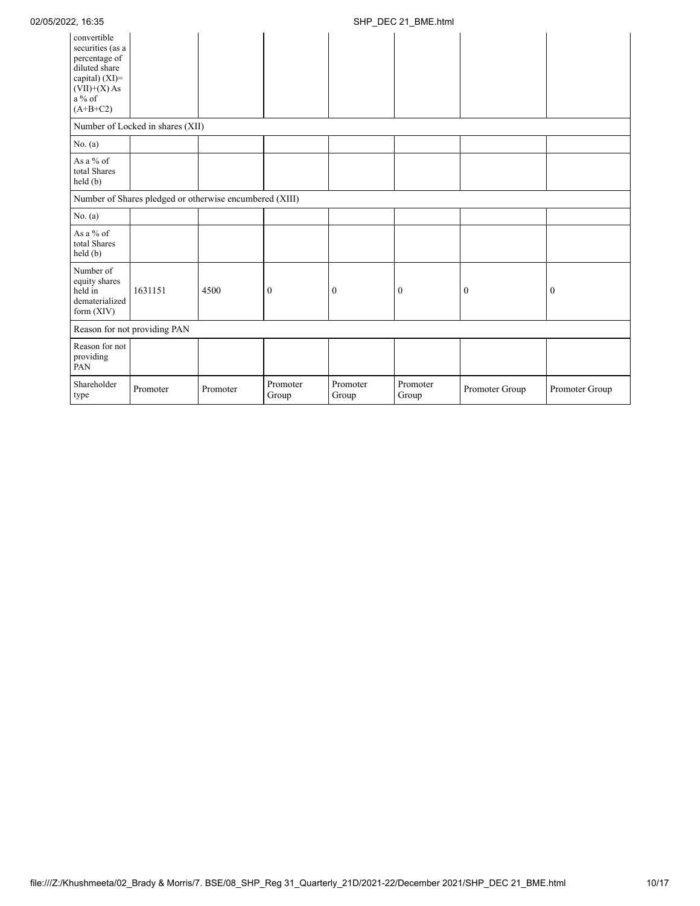| convertible<br>securities (as a<br>percentage of<br>diluted share<br>capital) (XI)=<br>$(VII)+(X)$ As<br>$a\%$ of<br>$(A+B+C2)$ |                                                         |          |                   |                   |                   |                  |                  |
|---------------------------------------------------------------------------------------------------------------------------------|---------------------------------------------------------|----------|-------------------|-------------------|-------------------|------------------|------------------|
|                                                                                                                                 | Number of Locked in shares (XII)                        |          |                   |                   |                   |                  |                  |
| No. $(a)$                                                                                                                       |                                                         |          |                   |                   |                   |                  |                  |
| As a % of<br>total Shares<br>held(b)                                                                                            |                                                         |          |                   |                   |                   |                  |                  |
|                                                                                                                                 | Number of Shares pledged or otherwise encumbered (XIII) |          |                   |                   |                   |                  |                  |
| No. $(a)$                                                                                                                       |                                                         |          |                   |                   |                   |                  |                  |
| As a % of<br>total Shares<br>held(b)                                                                                            |                                                         |          |                   |                   |                   |                  |                  |
| Number of<br>equity shares<br>held in<br>dematerialized<br>form $(XIV)$                                                         | 1631151                                                 | 4500     | $\boldsymbol{0}$  | $\boldsymbol{0}$  | $\boldsymbol{0}$  | $\boldsymbol{0}$ | $\boldsymbol{0}$ |
|                                                                                                                                 | Reason for not providing PAN                            |          |                   |                   |                   |                  |                  |
| Reason for not<br>providing<br>PAN                                                                                              |                                                         |          |                   |                   |                   |                  |                  |
| Shareholder<br>type                                                                                                             | Promoter                                                | Promoter | Promoter<br>Group | Promoter<br>Group | Promoter<br>Group | Promoter Group   | Promoter Group   |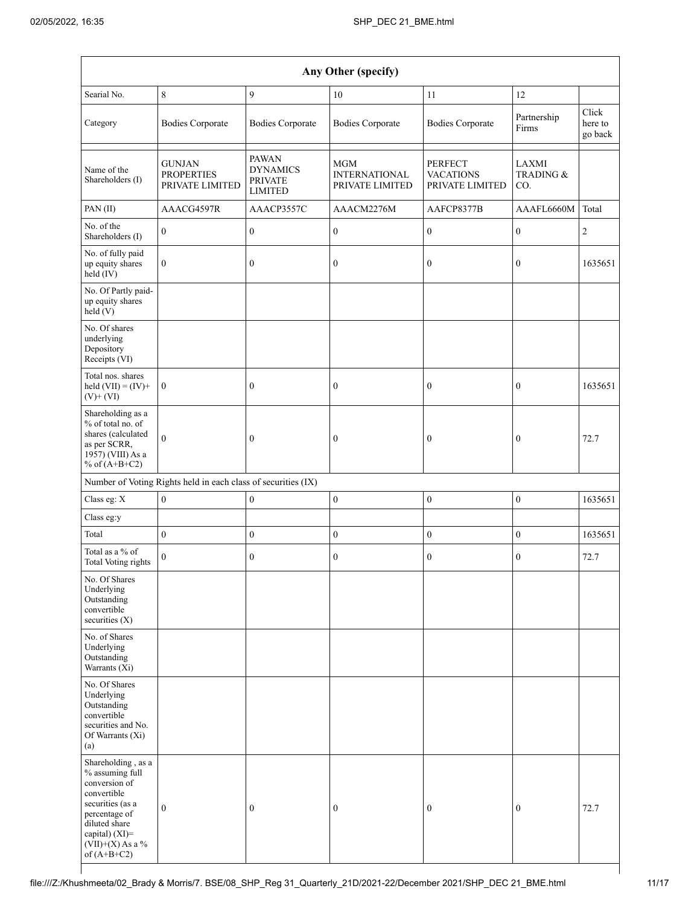|                                                                                                                                                                                      |                                                               |                                                                     | Any Other (specify)                            |                                                |                           |                             |
|--------------------------------------------------------------------------------------------------------------------------------------------------------------------------------------|---------------------------------------------------------------|---------------------------------------------------------------------|------------------------------------------------|------------------------------------------------|---------------------------|-----------------------------|
| Searial No.                                                                                                                                                                          | 8                                                             | 9                                                                   | 10                                             | 11                                             | 12                        |                             |
| Category                                                                                                                                                                             | <b>Bodies Corporate</b>                                       | <b>Bodies Corporate</b>                                             | <b>Bodies Corporate</b>                        | <b>Bodies Corporate</b>                        | Partnership<br>Firms      | Click<br>here to<br>go back |
| Name of the<br>Shareholders (I)                                                                                                                                                      | <b>GUNJAN</b><br><b>PROPERTIES</b><br>PRIVATE LIMITED         | <b>PAWAN</b><br><b>DYNAMICS</b><br><b>PRIVATE</b><br><b>LIMITED</b> | MGM<br><b>INTERNATIONAL</b><br>PRIVATE LIMITED | PERFECT<br><b>VACATIONS</b><br>PRIVATE LIMITED | LAXMI<br>TRADING &<br>CO. |                             |
| PAN(II)                                                                                                                                                                              | AAACG4597R                                                    | AAACP3557C                                                          | AAACM2276M                                     | AAFCP8377B                                     | AAAFL6660M                | Total                       |
| No. of the<br>Shareholders (I)                                                                                                                                                       | $\mathbf{0}$                                                  | $\boldsymbol{0}$                                                    | $\boldsymbol{0}$                               | $\boldsymbol{0}$                               | $\boldsymbol{0}$          | $\overline{2}$              |
| No. of fully paid<br>up equity shares<br>held (IV)                                                                                                                                   | $\boldsymbol{0}$                                              | $\boldsymbol{0}$                                                    | $\boldsymbol{0}$                               | $\boldsymbol{0}$                               | $\boldsymbol{0}$          | 1635651                     |
| No. Of Partly paid-<br>up equity shares<br>held(V)                                                                                                                                   |                                                               |                                                                     |                                                |                                                |                           |                             |
| No. Of shares<br>underlying<br>Depository<br>Receipts (VI)                                                                                                                           |                                                               |                                                                     |                                                |                                                |                           |                             |
| Total nos. shares<br>held $(VII) = (IV) +$<br>$(V)$ + $(VI)$                                                                                                                         | $\boldsymbol{0}$                                              | $\mathbf{0}$                                                        | $\boldsymbol{0}$                               | $\boldsymbol{0}$                               | $\mathbf{0}$              | 1635651                     |
| Shareholding as a<br>% of total no. of<br>shares (calculated<br>as per SCRR,<br>1957) (VIII) As a<br>% of $(A+B+C2)$                                                                 | $\mathbf{0}$                                                  | $\bf{0}$                                                            | $\boldsymbol{0}$                               | $\boldsymbol{0}$                               | $\boldsymbol{0}$          | 72.7                        |
|                                                                                                                                                                                      | Number of Voting Rights held in each class of securities (IX) |                                                                     |                                                |                                                |                           |                             |
| Class eg: X                                                                                                                                                                          | $\mathbf{0}$                                                  | $\boldsymbol{0}$                                                    | $\mathbf{0}$                                   | $\boldsymbol{0}$                               | $\boldsymbol{0}$          | 1635651                     |
| Class eg:y                                                                                                                                                                           |                                                               |                                                                     |                                                |                                                |                           |                             |
| Total                                                                                                                                                                                | $\boldsymbol{0}$                                              | $\boldsymbol{0}$                                                    | $\boldsymbol{0}$                               | $\boldsymbol{0}$                               | $\boldsymbol{0}$          | 1635651                     |
| Total as a $\%$ of<br><b>Total Voting rights</b>                                                                                                                                     | $\mathbf{0}$                                                  | $\boldsymbol{0}$                                                    | $\boldsymbol{0}$                               | $\boldsymbol{0}$                               | $\boldsymbol{0}$          | 72.7                        |
| No. Of Shares<br>Underlying<br>Outstanding<br>convertible<br>securities (X)                                                                                                          |                                                               |                                                                     |                                                |                                                |                           |                             |
| No. of Shares<br>Underlying<br>Outstanding<br>Warrants (Xi)                                                                                                                          |                                                               |                                                                     |                                                |                                                |                           |                             |
| No. Of Shares<br>Underlying<br>Outstanding<br>convertible<br>securities and No.<br>Of Warrants (Xi)<br>(a)                                                                           |                                                               |                                                                     |                                                |                                                |                           |                             |
| Shareholding, as a<br>% assuming full<br>conversion of<br>convertible<br>securities (as a<br>percentage of<br>diluted share<br>capital) (XI)=<br>$(VII)+(X)$ As a %<br>of $(A+B+C2)$ | $\mathbf{0}$                                                  | $\mathbf{0}$                                                        | $\boldsymbol{0}$                               | $\boldsymbol{0}$                               | $\mathbf{0}$              | 72.7                        |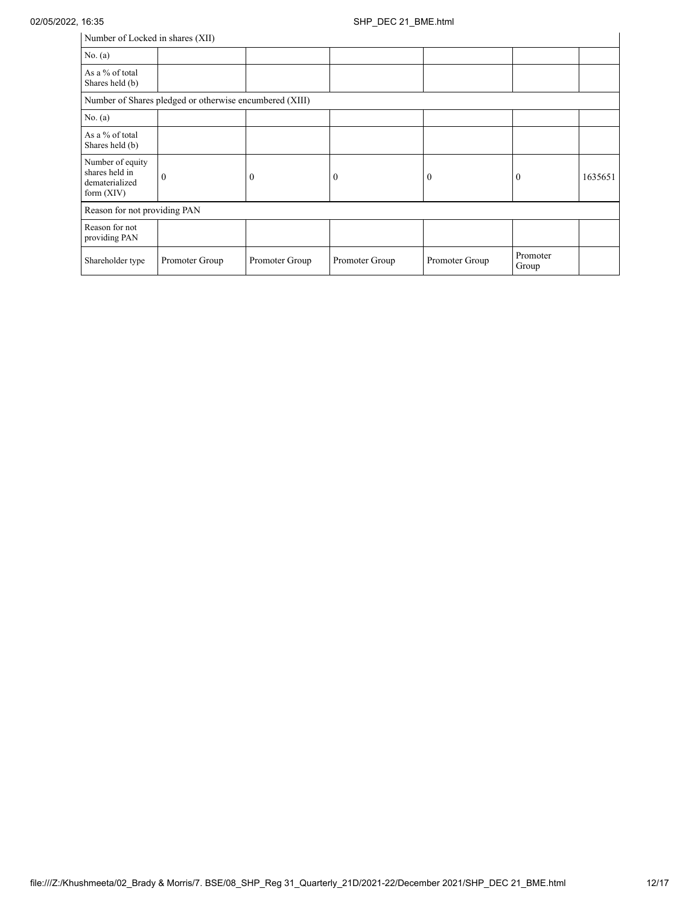| Number of Locked in shares (XII)                                     |                                                         |                |                |                  |                   |         |
|----------------------------------------------------------------------|---------------------------------------------------------|----------------|----------------|------------------|-------------------|---------|
| No. $(a)$                                                            |                                                         |                |                |                  |                   |         |
| As a % of total<br>Shares held (b)                                   |                                                         |                |                |                  |                   |         |
|                                                                      | Number of Shares pledged or otherwise encumbered (XIII) |                |                |                  |                   |         |
| No. $(a)$                                                            |                                                         |                |                |                  |                   |         |
| As a % of total<br>Shares held (b)                                   |                                                         |                |                |                  |                   |         |
| Number of equity<br>shares held in<br>dematerialized<br>form $(XIV)$ | $\mathbf{0}$                                            | $\mathbf{0}$   | 0              | $\boldsymbol{0}$ | 0                 | 1635651 |
| Reason for not providing PAN                                         |                                                         |                |                |                  |                   |         |
| Reason for not<br>providing PAN                                      |                                                         |                |                |                  |                   |         |
| Shareholder type                                                     | Promoter Group                                          | Promoter Group | Promoter Group | Promoter Group   | Promoter<br>Group |         |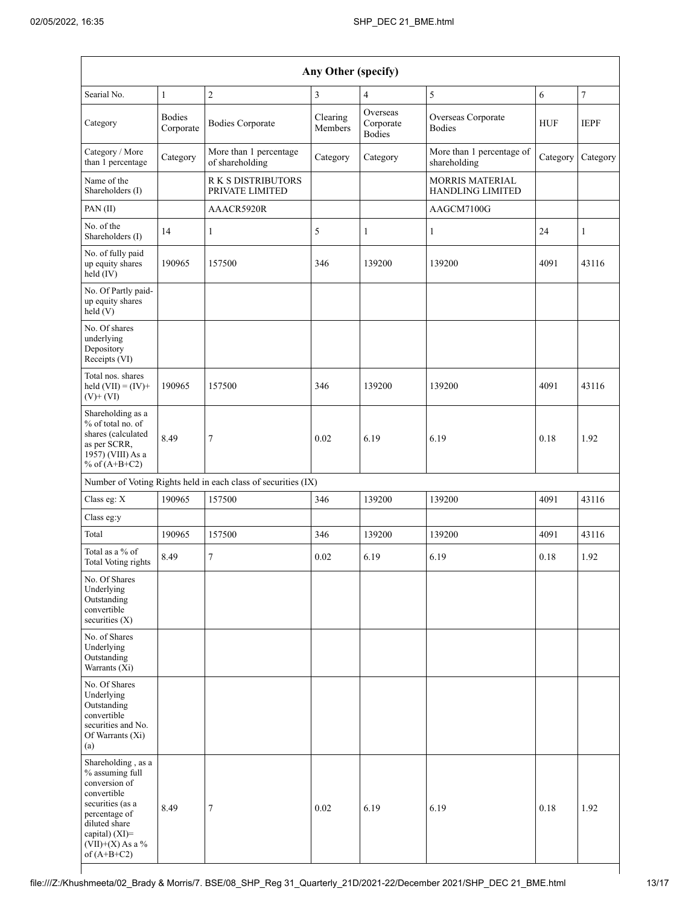| Any Other (specify)                                                                                                                                                                     |                            |                                                               |                     |                                        |                                            |            |                |
|-----------------------------------------------------------------------------------------------------------------------------------------------------------------------------------------|----------------------------|---------------------------------------------------------------|---------------------|----------------------------------------|--------------------------------------------|------------|----------------|
| Searial No.                                                                                                                                                                             | $\mathbf{1}$               | $\overline{c}$                                                | 3                   | $\overline{4}$                         | 5                                          | 6          | $\overline{7}$ |
| Category                                                                                                                                                                                | <b>Bodies</b><br>Corporate | <b>Bodies Corporate</b>                                       | Clearing<br>Members | Overseas<br>Corporate<br><b>Bodies</b> | Overseas Corporate<br><b>Bodies</b>        | <b>HUF</b> | <b>IEPF</b>    |
| Category / More<br>than 1 percentage                                                                                                                                                    | Category                   | More than 1 percentage<br>of shareholding                     | Category            | Category                               | More than 1 percentage of<br>shareholding  | Category   | Category       |
| Name of the<br>Shareholders (I)                                                                                                                                                         |                            | <b>RK S DISTRIBUTORS</b><br>PRIVATE LIMITED                   |                     |                                        | MORRIS MATERIAL<br><b>HANDLING LIMITED</b> |            |                |
| PAN (II)                                                                                                                                                                                |                            | AAACR5920R                                                    |                     |                                        | AAGCM7100G                                 |            |                |
| No. of the<br>Shareholders (I)                                                                                                                                                          | 14                         | $\mathbf{1}$                                                  | 5                   | $\mathbf{1}$                           | 1                                          | 24         | $\mathbf{1}$   |
| No. of fully paid<br>up equity shares<br>held (IV)                                                                                                                                      | 190965                     | 157500                                                        | 346                 | 139200                                 | 139200                                     | 4091       | 43116          |
| No. Of Partly paid-<br>up equity shares<br>held(V)                                                                                                                                      |                            |                                                               |                     |                                        |                                            |            |                |
| No. Of shares<br>underlying<br>Depository<br>Receipts (VI)                                                                                                                              |                            |                                                               |                     |                                        |                                            |            |                |
| Total nos. shares<br>held $(VII) = (IV) +$<br>$(V)$ + $(VI)$                                                                                                                            | 190965                     | 157500                                                        | 346                 | 139200                                 | 139200                                     | 4091       | 43116          |
| Shareholding as a<br>% of total no. of<br>shares (calculated<br>as per SCRR,<br>1957) (VIII) As a<br>% of $(A+B+C2)$                                                                    | 8.49                       | 7                                                             | 0.02                | 6.19                                   | 6.19                                       | 0.18       | 1.92           |
|                                                                                                                                                                                         |                            | Number of Voting Rights held in each class of securities (IX) |                     |                                        |                                            |            |                |
| Class eg: X                                                                                                                                                                             | 190965                     | 157500                                                        | 346                 | 139200                                 | 139200                                     | 4091       | 43116          |
| Class eg:y                                                                                                                                                                              |                            |                                                               |                     |                                        |                                            |            |                |
| Total                                                                                                                                                                                   | 190965                     | 157500                                                        | 346                 | 139200                                 | 139200                                     | 4091       | 43116          |
| Total as a % of<br>Total Voting rights                                                                                                                                                  | 8.49                       | 7                                                             | 0.02                | 6.19                                   | 6.19                                       | 0.18       | 1.92           |
| No. Of Shares<br>Underlying<br>Outstanding<br>convertible<br>securities $(X)$                                                                                                           |                            |                                                               |                     |                                        |                                            |            |                |
| No. of Shares<br>Underlying<br>Outstanding<br>Warrants (Xi)                                                                                                                             |                            |                                                               |                     |                                        |                                            |            |                |
| No. Of Shares<br>Underlying<br>Outstanding<br>convertible<br>securities and No.<br>Of Warrants (Xi)<br>(a)                                                                              |                            |                                                               |                     |                                        |                                            |            |                |
| Shareholding, as a<br>% assuming full<br>conversion of<br>convertible<br>securities (as a<br>percentage of<br>diluted share<br>capital) $(XI)$ =<br>$(VII)+(X)$ As a %<br>of $(A+B+C2)$ | 8.49                       | 7                                                             | 0.02                | 6.19                                   | 6.19                                       | 0.18       | 1.92           |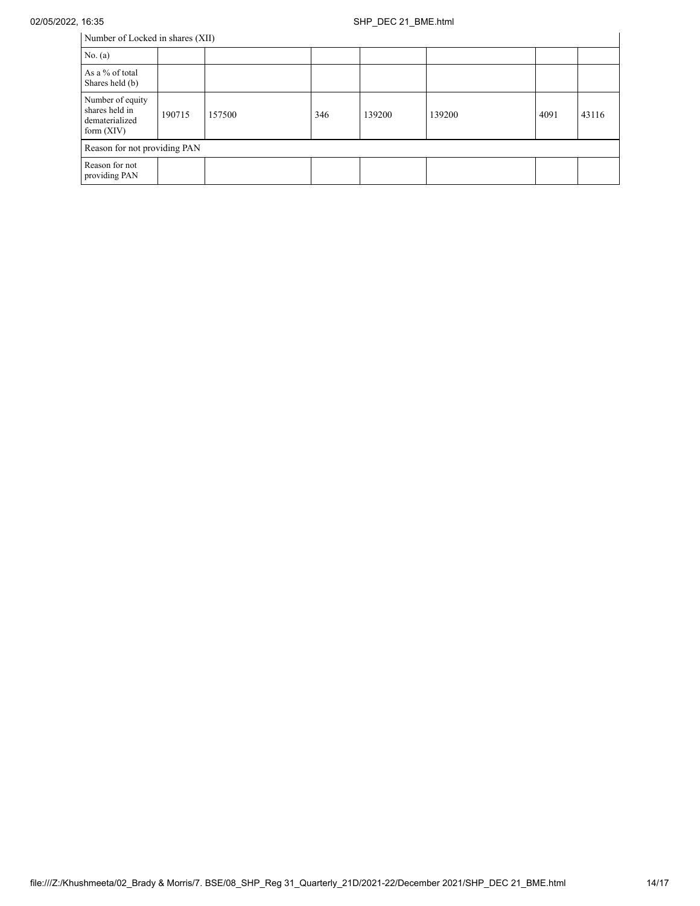Number of Locked in shares (XII)

| Number of Locked in shares (XII)                                     |        |        |     |        |        |      |       |
|----------------------------------------------------------------------|--------|--------|-----|--------|--------|------|-------|
| No. $(a)$                                                            |        |        |     |        |        |      |       |
| As a % of total<br>Shares held (b)                                   |        |        |     |        |        |      |       |
| Number of equity<br>shares held in<br>dematerialized<br>form $(XIV)$ | 190715 | 157500 | 346 | 139200 | 139200 | 4091 | 43116 |
| Reason for not providing PAN                                         |        |        |     |        |        |      |       |
| Reason for not<br>providing PAN                                      |        |        |     |        |        |      |       |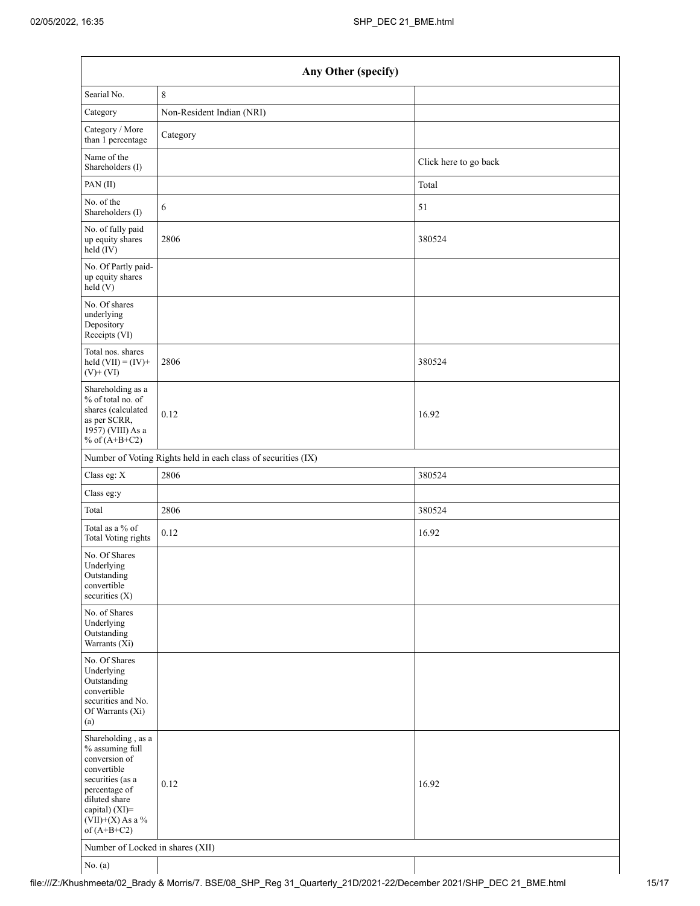| Any Other (specify)                                                                                                                                                                  |                                                               |                       |  |  |
|--------------------------------------------------------------------------------------------------------------------------------------------------------------------------------------|---------------------------------------------------------------|-----------------------|--|--|
| Searial No.                                                                                                                                                                          | $\,$ 8 $\,$                                                   |                       |  |  |
| Category                                                                                                                                                                             | Non-Resident Indian (NRI)                                     |                       |  |  |
| Category / More<br>than 1 percentage                                                                                                                                                 | Category                                                      |                       |  |  |
| Name of the<br>Shareholders (I)                                                                                                                                                      |                                                               | Click here to go back |  |  |
| PAN(II)                                                                                                                                                                              |                                                               | Total                 |  |  |
| No. of the<br>Shareholders (I)                                                                                                                                                       | 6                                                             | 51                    |  |  |
| No. of fully paid<br>up equity shares<br>held (IV)                                                                                                                                   | 2806                                                          | 380524                |  |  |
| No. Of Partly paid-<br>up equity shares<br>held(V)                                                                                                                                   |                                                               |                       |  |  |
| No. Of shares<br>underlying<br>Depository<br>Receipts (VI)                                                                                                                           |                                                               |                       |  |  |
| Total nos. shares<br>held $(VII) = (IV) +$<br>$(V)$ + $(VI)$                                                                                                                         | 2806                                                          | 380524                |  |  |
| Shareholding as a<br>% of total no. of<br>shares (calculated<br>as per SCRR,<br>1957) (VIII) As a<br>% of $(A+B+C2)$                                                                 | 0.12                                                          | 16.92                 |  |  |
|                                                                                                                                                                                      | Number of Voting Rights held in each class of securities (IX) |                       |  |  |
| Class eg: X                                                                                                                                                                          | 2806                                                          | 380524                |  |  |
| Class eg:y                                                                                                                                                                           |                                                               |                       |  |  |
| Total                                                                                                                                                                                | 2806                                                          | 380524                |  |  |
| Total as a % of<br>Total Voting rights                                                                                                                                               | 0.12                                                          | 16.92                 |  |  |
| No. Of Shares<br>Underlying<br>Outstanding<br>convertible<br>securities $(X)$                                                                                                        |                                                               |                       |  |  |
| No. of Shares<br>Underlying<br>Outstanding<br>Warrants (Xi)                                                                                                                          |                                                               |                       |  |  |
| No. Of Shares<br>Underlying<br>Outstanding<br>convertible<br>securities and No.<br>Of Warrants (Xi)<br>(a)                                                                           |                                                               |                       |  |  |
| Shareholding, as a<br>% assuming full<br>conversion of<br>convertible<br>securities (as a<br>percentage of<br>diluted share<br>capital) (XI)=<br>$(VII)+(X)$ As a %<br>of $(A+B+C2)$ | 0.12                                                          | 16.92                 |  |  |
| Number of Locked in shares (XII)                                                                                                                                                     |                                                               |                       |  |  |
| No. (a)                                                                                                                                                                              |                                                               |                       |  |  |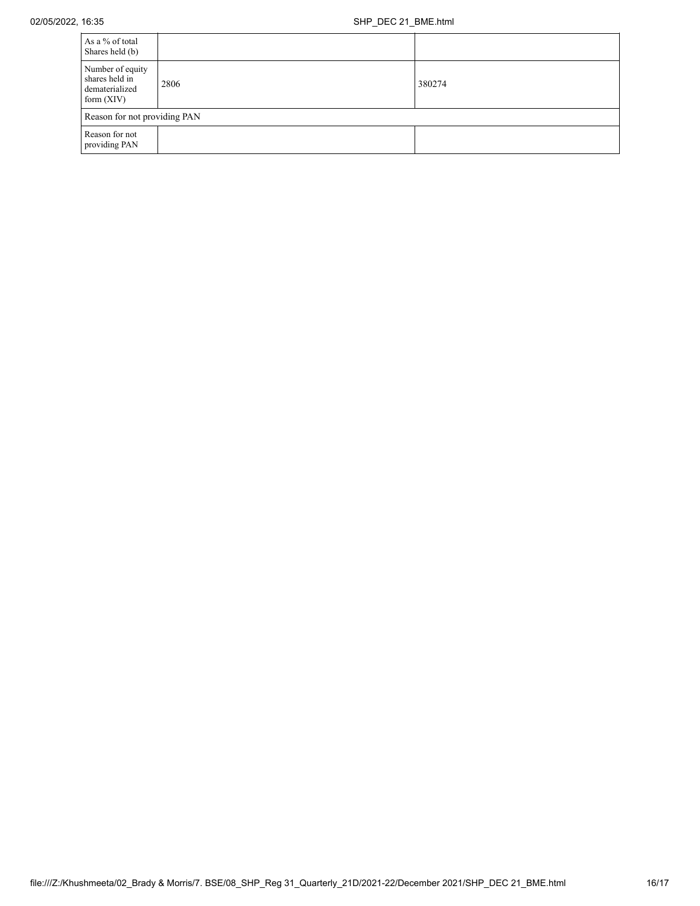| As a % of total<br>Shares held (b)                                   |      |        |  |  |
|----------------------------------------------------------------------|------|--------|--|--|
| Number of equity<br>shares held in<br>dematerialized<br>form $(XIV)$ | 2806 | 380274 |  |  |
| Reason for not providing PAN                                         |      |        |  |  |
| Reason for not<br>providing PAN                                      |      |        |  |  |